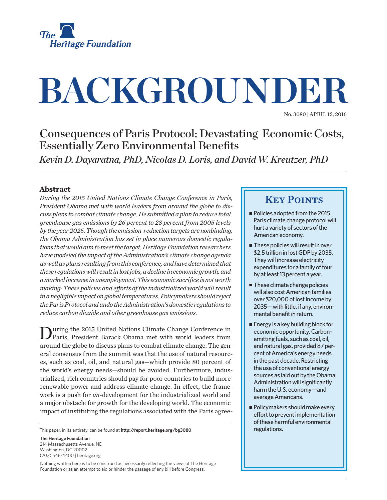

# **BACKGROUNDER**

No. 3080 | April 13, 2016

# Consequences of Paris Protocol: Devastating Economic Costs, Essentially Zero Environmental Benefits

*Kevin D. Dayaratna, PhD, Nicolas D. Loris, and David W. Kreutzer, PhD*

## **Abstract**

*During the 2015 United Nations Climate Change Conference in Paris, President Obama met with world leaders from around the globe to discuss plans to combat climate change. He submitted a plan to reduce total greenhouse gas emissions by 26 percent to 28 percent from 2005 levels by the year 2025. Though the emission-reduction targets are nonbinding, the Obama Administration has set in place numerous domestic regulations that would aim to meet the target. Heritage Foundation researchers have modeled the impact of the Administration's climate change agenda as well as plans resulting from this conference, and have determined that these regulations will result in lost jobs, a decline in economic growth, and a marked increase in unemployment. This economic sacrifice is not worth making: These policies and efforts of the industrialized world will result in a negligible impact on global temperatures. Policymakers should reject the Paris Protocol and undo the Administration's domestic regulations to reduce carbon dioxide and other greenhouse gas emissions.*

uring the 2015 United Nations Climate Change Conference in Paris, President Barack Obama met with world leaders from around the globe to discuss plans to combat climate change. The general consensus from the summit was that the use of natural resources, such as coal, oil, and natural gas—which provide 80 percent of the world's energy needs—should be avoided. Furthermore, industrialized, rich countries should pay for poor countries to build more renewable power and address climate change. In effect, the framework is a push for *un*-development for the industrialized world and a major obstacle for growth for the developing world. The economic impact of instituting the regulations associated with the Paris agree-

This paper, in its entirety, can be found at **http://report.heritage.org/bg3080**

**The Heritage Foundation** 214 Massachusetts Avenue, NE Washington, DC 20002 (202) 546-4400 | heritage.org

Nothing written here is to be construed as necessarily reflecting the views of The Heritage Foundation or as an attempt to aid or hinder the passage of any bill before Congress.

## **KEY POINTS**

- $\blacksquare$  Policies adopted from the 2015 Paris climate change protocol will hurt a variety of sectors of the American economy.
- $\blacksquare$  These policies will result in over \$2.5 trillion in lost GDP by 2035. They will increase electricity expenditures for a family of four by at least 13 percent a year.
- $\blacksquare$  These climate change policies will also cost American families over \$20,000 of lost income by 2035—with little, if any, environmental benefit in return.
- $\blacksquare$  Energy is a key building block for economic opportunity. Carbonemitting fuels, such as coal, oil, and natural gas, provided 87 percent of America's energy needs in the past decade. Restricting the use of conventional energy sources as laid out by the Obama Administration will significantly harm the U.S. economy—and average Americans.
- $\blacksquare$  Policymakers should make every effort to prevent implementation of these harmful environmental regulations.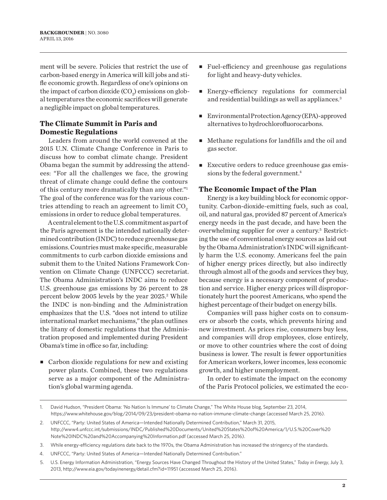ment will be severe. Policies that restrict the use of carbon-based energy in America will kill jobs and stifle economic growth. Regardless of one's opinions on the impact of carbon dioxide  $({\rm CO}_2)$  emissions on global temperatures the economic sacrifices will generate a negligible impact on global temperatures.

## **The Climate Summit in Paris and Domestic Regulations**

Leaders from around the world convened at the 2015 U.N. Climate Change Conference in Paris to discuss how to combat climate change. President Obama began the summit by addressing the attendees: "For all the challenges we face, the growing threat of climate change could define the contours of this century more dramatically than any other."1 The goal of the conference was for the various countries attending to reach an agreement to limit  $CO<sub>2</sub>$ . emissions in order to reduce global temperatures.

A central element to the U.S. commitment as part of the Paris agreement is the intended nationally determined contribution (INDC) to reduce greenhouse gas emissions. Countries must make specific, measurable commitments to curb carbon dioxide emissions and submit them to the United Nations Framework Convention on Climate Change (UNFCCC) secretariat. The Obama Administration's INDC aims to reduce U.S. greenhouse gas emissions by 26 percent to 28 percent below 2005 levels by the year 2025.<sup>2</sup> While the INDC is non-binding and the Administration emphasizes that the U.S. "does not intend to utilize international market mechanisms," the plan outlines the litany of domestic regulations that the Administration proposed and implemented during President Obama's time in office so far, including:

 $\blacksquare$  Carbon dioxide regulations for new and existing power plants. Combined, these two regulations serve as a major component of the Administration's global warming agenda.

- <sup>n</sup> Fuel-efficiency and greenhouse gas regulations for light and heavy-duty vehicles.
- <sup>n</sup> Energy-efficiency regulations for commercial and residential buildings as well as appliances.3
- Environmental Protection Agency (EPA)-approved alternatives to hydrochlorofluorocarbons.
- $\blacksquare$  Methane regulations for landfills and the oil and gas sector.
- $\blacksquare$  Executive orders to reduce greenhouse gas emissions by the federal government.<sup>4</sup>

### **The Economic Impact of the Plan**

Energy is a key building block for economic opportunity. Carbon-dioxide-emitting fuels, such as coal, oil, and natural gas, provided 87 percent of America's energy needs in the past decade, and have been the overwhelming supplier for over a century.<sup>5</sup> Restricting the use of conventional energy sources as laid out by the Obama Administration's INDC will significantly harm the U.S. economy. Americans feel the pain of higher energy prices directly, but also indirectly through almost all of the goods and services they buy, because energy is a necessary component of production and service. Higher energy prices will disproportionately hurt the poorest Americans, who spend the highest percentage of their budget on energy bills.

Companies will pass higher costs on to consumers or absorb the costs, which prevents hiring and new investment. As prices rise, consumers buy less, and companies will drop employees, close entirely, or move to other countries where the cost of doing business is lower. The result is fewer opportunities for American workers, lower incomes, less economic growth, and higher unemployment.

In order to estimate the impact on the economy of the Paris Protocol policies, we estimated the eco-

- 4. UNFCCC, "Party: United States of America—Intended Nationally Determined Contribution."
- 5. U.S. Energy Information Administration, "Energy Sources Have Changed Throughout the History of the United States," *Today in Energy*, July 3, 2013, http://www.eia.gov/todayinenergy/detail.cfm?id=11951 (accessed March 25, 2016).

<sup>1.</sup> David Hudson, "President Obama: 'No Nation Is Immune' to Climate Change," The White House blog, September 23, 2014, https://www.whitehouse.gov/blog/2014/09/23/president-obama-no-nation-immune-climate-change (accessed March 25, 2016).

<sup>2.</sup> UNFCCC, "Party: United States of America—Intended Nationally Determined Contribution," March 31, 2015, http://www4.unfccc.int/submissions/INDC/Published%20Documents/United%20States%20of%20America/1/U.S.%20Cover%20 Note%20INDC%20and%20Accompanying%20Information.pdf (accessed March 25, 2016).

<sup>3.</sup> While energy-efficiency regulations date back to the 1970s, the Obama Administration has increased the stringency of the standards.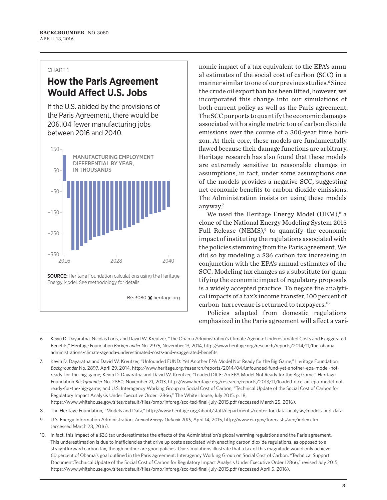# **How the Paris Agreement Would Affect U.S. Jobs**

If the U.S. abided by the provisions of the Paris Agreement, there would be 206,104 fewer manufacturing jobs between 2016 and 2040.



nomic impact of a tax equivalent to the EPA's annual estimates of the social cost of carbon (SCC) in a manner similar to one of our previous studies.<sup>6</sup> Since the crude oil export ban has been lifted, however, we incorporated this change into our simulations of both current policy as well as the Paris agreement. The SCC purports to quantify the economic damages associated with a single metric ton of carbon dioxide emissions over the course of a 300-year time horizon. At their core, these models are fundamentally flawed because their damage functions are arbitrary. Heritage research has also found that these models are extremely sensitive to reasonable changes in assumptions; in fact, under some assumptions one of the models provides a negative SCC, suggesting net economic benefits to carbon dioxide emissions. The Administration insists on using these models anyway.7

We used the Heritage Energy Model (HEM),<sup>8</sup> a clone of the National Energy Modeling System 2015 Full Release (NEMS),<sup>9</sup> to quantify the economic impact of instituting the regulations associated with the policies stemming from the Paris agreement. We did so by modeling a \$36 carbon tax increasing in conjunction with the EPA's annual estimates of the SCC. Modeling tax changes as a substitute for quantifying the economic impact of regulatory proposals is a widely accepted practice. To negate the analytical impacts of a tax's income transfer, 100 percent of carbon-tax revenue is returned to taxpayers.10

Policies adapted from domestic regulations emphasized in the Paris agreement will affect a vari-

- 6. Kevin D. Dayaratna, Nicolas Loris, and David W. Kreutzer, "The Obama Administration's Climate Agenda: Underestimated Costs and Exaggerated Benefits," Heritage Foundation *Backgrounder* No. 2975, November 13, 2014, http://www.heritage.org/research/reports/2014/11/the-obamaadministrations-climate-agenda-underestimated-costs-and-exaggerated-benefits.
- 7. Kevin D. Dayaratna and David W. Kreutzer, "Unfounded FUND: Yet Another EPA Model Not Ready for the Big Game," Heritage Foundation *Backgrounder* No. 2897, April 29, 2014, http://www.heritage.org/research/reports/2014/04/unfounded-fund-yet-another-epa-model-notready-for-the-big-game; Kevin D. Dayaratna and David W. Kreutzer, "Loaded DICE: An EPA Model Not Ready for the Big Game," Heritage Foundation *Backgrounder* No. 2860, November 21, 2013, http://www.heritage.org/research/reports/2013/11/loaded-dice-an-epa-model-notready-for-the-big-game; and U.S. Interagency Working Group on Social Cost of Carbon, "Technical Update of the Social Cost of Carbon for Regulatory Impact Analysis Under Executive Order 12866," The White House, July 2015, p. 18, https://www.whitehouse.gov/sites/default/files/omb/inforeg/scc-tsd-final-july-2015.pdf (accessed March 25, 2016).
- 8. The Heritage Foundation, "Models and Data," http://www.heritage.org/about/staff/departments/center-for-data-analysis/models-and-data.
- 9. U.S. Energy Information Administration, *Annual Energy Outlook 2015*, April 14, 2015, http://www.eia.gov/forecasts/aeo/index.cfm (accessed March 28, 2016).
- 10. In fact, this impact of a \$36 tax underestimates the effects of the Administration's global warming regulations and the Paris agreement. This underestimation is due to inefficiencies that drive up costs associated with enacting carbon dioxide regulations, as opposed to a straightforward carbon tax, though neither are good policies. Our simulations illustrate that a tax of this magnitude would only achieve 60 percent of Obama's goal outlined in the Paris agreement. Interagency Working Group on Social Cost of Carbon, "Technical Support Document:Technical Update of the Social Cost of Carbon for Regulatory Impact Analysis Under Executive Order 12866," revised July 2015, https://www.whitehouse.gov/sites/default/files/omb/inforeg/scc-tsd-final-july-2015.pdf (accessed April 5, 2016).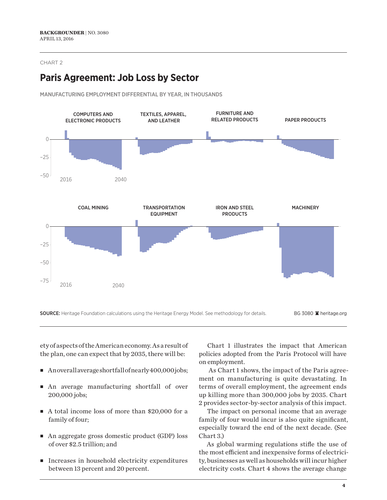# **Paris Agreement: Job Loss by Sector**





SOURCE: Heritage Foundation calculations using the Heritage Energy Model. See methodology for details. BG 3080 <sup>a</sup> heritage.org

ety of aspects of the American economy. As a result of the plan, one can expect that by 2035, there will be:

- An overall average shortfall of nearly 400,000 jobs;
- <sup>n</sup> An average manufacturing shortfall of over 200,000 jobs;
- A total income loss of more than \$20,000 for a family of four;
- An aggregate gross domestic product (GDP) loss of over \$2.5 trillion; and
- Increases in household electricity expenditures between 13 percent and 20 percent.

Chart 1 illustrates the impact that American policies adopted from the Paris Protocol will have on employment.

 As Chart 1 shows, the impact of the Paris agreement on manufacturing is quite devastating. In terms of overall employment, the agreement ends up killing more than 300,000 jobs by 2035. Chart 2 provides sector-by-sector analysis of this impact.

The impact on personal income that an average family of four would incur is also quite significant, especially toward the end of the next decade. (See Chart 3.)

As global warming regulations stifle the use of the most efficient and inexpensive forms of electricity, businesses as well as households will incur higher electricity costs. Chart 4 shows the average change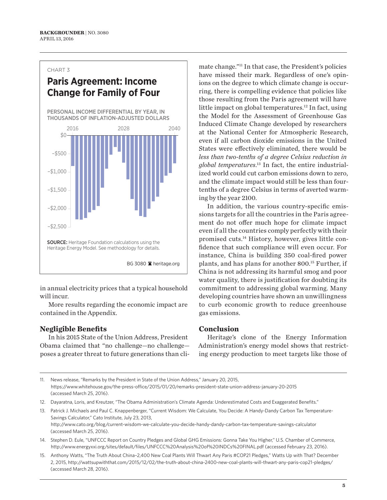# **Paris Agreement: Income Change for Family of Four**

PERSONAL INCOME DIFFERENTIAL BY YEAR, IN THOUSANDS OF INFLATION-ADJUSTED DOLLARS



in annual electricity prices that a typical household will incur.

More results regarding the economic impact are contained in the Appendix.

## **Negligible Benefits**

In his 2015 State of the Union Address, President Obama claimed that "no challenge—no challenge poses a greater threat to future generations than climate change."11 In that case, the President's policies have missed their mark. Regardless of one's opinions on the degree to which climate change is occurring, there is compelling evidence that policies like those resulting from the Paris agreement will have little impact on global temperatures.<sup>12</sup> In fact, using the Model for the Assessment of Greenhouse Gas Induced Climate Change developed by researchers at the National Center for Atmospheric Research, even if all carbon dioxide emissions in the United States were effectively eliminated, there would be *less than two-tenths of a degree Celsius reduction in global temperatures*. <sup>13</sup> In fact, the entire industrialized world could cut carbon emissions down to zero, and the climate impact would still be less than fourtenths of a degree Celsius in terms of averted warming by the year 2100.

In addition, the various country-specific emissions targets for all the countries in the Paris agreement do not offer much hope for climate impact even if all the countries comply perfectly with their promised cuts.14 History, however, gives little confidence that such compliance will even occur. For instance, China is building 350 coal-fired power plants, and has plans for another 800.15 Further, if China is not addressing its harmful smog and poor water quality, there is justification for doubting its commitment to addressing global warming. Many developing countries have shown an unwillingness to curb economic growth to reduce greenhouse gas emissions.

## **Conclusion**

Heritage's clone of the Energy Information Administration's energy model shows that restricting energy production to meet targets like those of

- 14. Stephen D. Eule, "UNFCCC Report on Country Pledges and Global GHG Emissions: Gonna Take You Higher," U.S. Chamber of Commerce, http://www.energyxxi.org/sites/default/files/UNFCCC%20Analysis%20of%20INDCs%20FINAL.pdf (accessed February 23, 2016).
- 15. Anthony Watts, "The Truth About China–2,400 New Coal Plants Will Thwart Any Paris #COP21 Pledges," Watts Up with That? December 2, 2015, http://wattsupwiththat.com/2015/12/02/the-truth-about-china-2400-new-coal-plants-will-thwart-any-paris-cop21-pledges/ (accessed March 28, 2016).

<sup>11.</sup> News release, "Remarks by the President in State of the Union Address," January 20, 2015, https://www.whitehouse.gov/the-press-office/2015/01/20/remarks-president-state-union-address-january-20-2015 (accessed March 25, 2016).

<sup>12.</sup> Dayaratna, Loris, and Kreutzer, "The Obama Administration's Climate Agenda: Underestimated Costs and Exaggerated Benefits."

<sup>13.</sup> Patrick J. Michaels and Paul C. Knappenberger, "Current Wisdom: We Calculate, You Decide: A Handy-Dandy Carbon Tax Temperature-Savings Calculator," Cato Institute, July 23, 2013, http://www.cato.org/blog/current-wisdom-we-calculate-you-decide-handy-dandy-carbon-tax-temperature-savings-calculator (accessed March 25, 2016).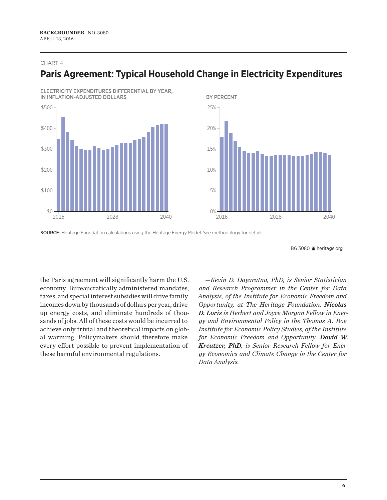# **Paris Agreement: Typical Household Change in Electricity Expenditures**







SOURCE: Heritage Foundation calculations using the Heritage Energy Model. See methodology for details.

BG 3080 <sup>a</sup> heritage.org

the Paris agreement will significantly harm the U.S. economy. Bureaucratically administered mandates, taxes, and special interest subsidies will drive family incomes down by thousands of dollars per year, drive up energy costs, and eliminate hundreds of thousands of jobs. All of these costs would be incurred to achieve only trivial and theoretical impacts on global warming. Policymakers should therefore make every effort possible to prevent implementation of these harmful environmental regulations.

*—Kevin D. Dayaratna, PhD, is Senior Statistician and Research Programmer in the Center for Data Analysis, of the Institute for Economic Freedom and Opportunity, at The Heritage Foundation. Nicolas D. Loris is Herbert and Joyce Morgan Fellow in Energy and Environmental Policy in the Thomas A. Roe Institute for Economic Policy Studies, of the Institute for Economic Freedom and Opportunity. David W. Kreutzer, PhD, is Senior Research Fellow for Energy Economics and Climate Change in the Center for Data Analysis.*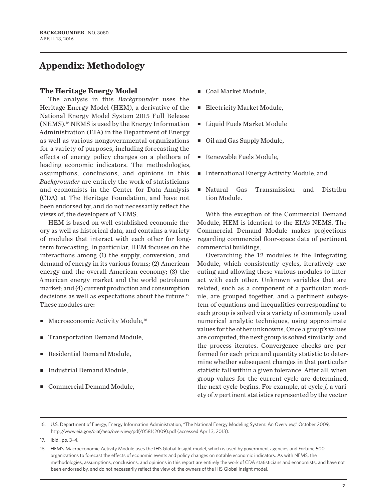# **Appendix: Methodology**

## **The Heritage Energy Model**

The analysis in this *Backgrounder* uses the Heritage Energy Model (HEM), a derivative of the National Energy Model System 2015 Full Release (NEMS).16 NEMS is used by the Energy Information Administration (EIA) in the Department of Energy as well as various nongovernmental organizations for a variety of purposes, including forecasting the effects of energy policy changes on a plethora of leading economic indicators. The methodologies, assumptions, conclusions, and opinions in this *Backgrounder* are entirely the work of statisticians and economists in the Center for Data Analysis (CDA) at The Heritage Foundation, and have not been endorsed by, and do not necessarily reflect the views of, the developers of NEMS.

HEM is based on well-established economic theory as well as historical data, and contains a variety of modules that interact with each other for longterm forecasting. In particular, HEM focuses on the interactions among (1) the supply, conversion, and demand of energy in its various forms; (2) American energy and the overall American economy; (3) the American energy market and the world petroleum market; and (4) current production and consumption decisions as well as expectations about the future.<sup>17</sup> These modules are:

- $\blacksquare$  Macroeconomic Activity Module,<sup>18</sup>
- Transportation Demand Module,
- Residential Demand Module,
- Industrial Demand Module,
- Commercial Demand Module,
- Coal Market Module,
- Electricity Market Module,
- <sup>n</sup> Liquid Fuels Market Module
- Oil and Gas Supply Module,
- Renewable Fuels Module,
- <sup>n</sup> International Energy Activity Module, and
- <sup>n</sup> Natural Gas Transmission and Distribution Module.

With the exception of the Commercial Demand Module, HEM is identical to the EIA's NEMS. The Commercial Demand Module makes projections regarding commercial floor-space data of pertinent commercial buildings.

Overarching the 12 modules is the Integrating Module, which consistently cycles, iteratively executing and allowing these various modules to interact with each other. Unknown variables that are related, such as a component of a particular module, are grouped together, and a pertinent subsystem of equations and inequalities corresponding to each group is solved via a variety of commonly used numerical analytic techniques, using approximate values for the other unknowns. Once a group's values are computed, the next group is solved similarly, and the process iterates. Convergence checks are performed for each price and quantity statistic to determine whether subsequent changes in that particular statistic fall within a given tolerance. After all, when group values for the current cycle are determined, the next cycle begins. For example, at cycle *j*, a variety of *n* pertinent statistics represented by the vector

<sup>16.</sup> U.S. Department of Energy, Energy Information Administration, "The National Energy Modeling System: An Overview," October 2009, http://www.eia.gov/oiaf/aeo/overview/pdf/0581(2009).pdf (accessed April 3, 2013).

<sup>17.</sup> Ibid., pp. 3–4.

<sup>18.</sup> HEM's Macroeconomic Activity Module uses the IHS Global Insight model, which is used by government agencies and Fortune 500 organizations to forecast the effects of economic events and policy changes on notable economic indicators. As with NEMS, the methodologies, assumptions, conclusions, and opinions in this report are entirely the work of CDA statisticians and economists, and have not been endorsed by, and do not necessarily reflect the view of, the owners of the IHS Global Insight model.